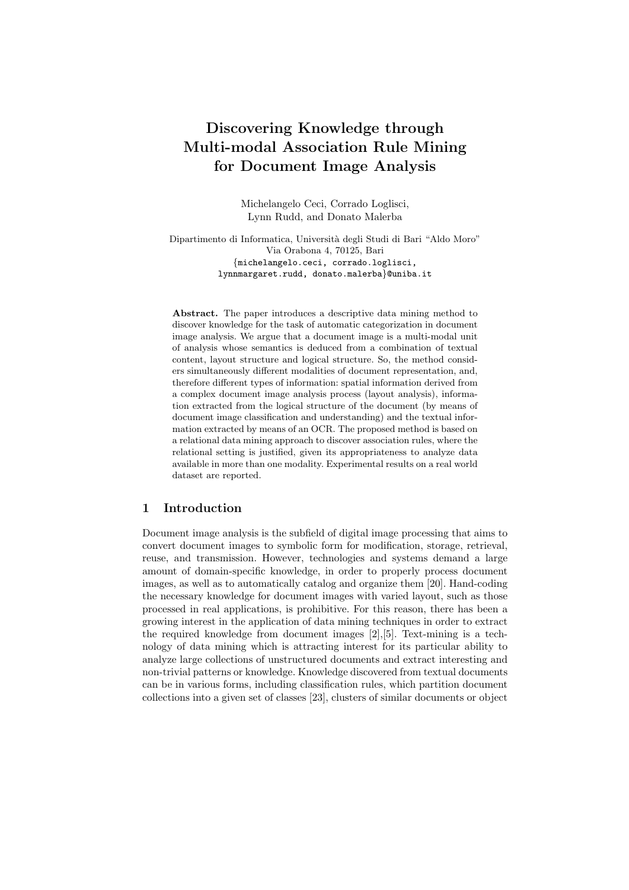# **Discovering Knowledge through Multi-modal Association Rule Mining for Document Image Analysis**

Michelangelo Ceci, Corrado Loglisci, Lynn Rudd, and Donato Malerba

Dipartimento di Informatica, Università degli Studi di Bari "Aldo Moro" Via Orabona 4, 70125, Bari *{*michelangelo.ceci, corrado.loglisci, lynnmargaret.rudd, donato.malerba*}*@uniba.it

**Abstract.** The paper introduces a descriptive data mining method to discover knowledge for the task of automatic categorization in document image analysis. We argue that a document image is a multi-modal unit of analysis whose semantics is deduced from a combination of textual content, layout structure and logical structure. So, the method considers simultaneously different modalities of document representation, and, therefore different types of information: spatial information derived from a complex document image analysis process (layout analysis), information extracted from the logical structure of the document (by means of document image classification and understanding) and the textual information extracted by means of an OCR. The proposed method is based on a relational data mining approach to discover association rules, where the relational setting is justified, given its appropriateness to analyze data available in more than one modality. Experimental results on a real world dataset are reported.

# **1 Introduction**

Document image analysis is the subfield of digital image processing that aims to convert document images to symbolic form for modification, storage, retrieval, reuse, and transmission. However, technologies and systems demand a large amount of domain-specific knowledge, in order to properly process document images, as well as to automatically catalog and organize them [20]. Hand-coding the necessary knowledge for document images with varied layout, such as those processed in real applications, is prohibitive. For this reason, there has been a growing interest in the application of data mining techniques in order to extract the required knowledge from document images  $[2], [5]$ . Text-mining is a technology of data mining which is attracting interest for its particular ability to analyze large collections of unstructured documents and extract interesting and non-trivial patterns or knowledge. Knowledge discovered from textual documents can be in various forms, including classification rules, which partition document collections into a given set of classes [23], clusters of similar documents or object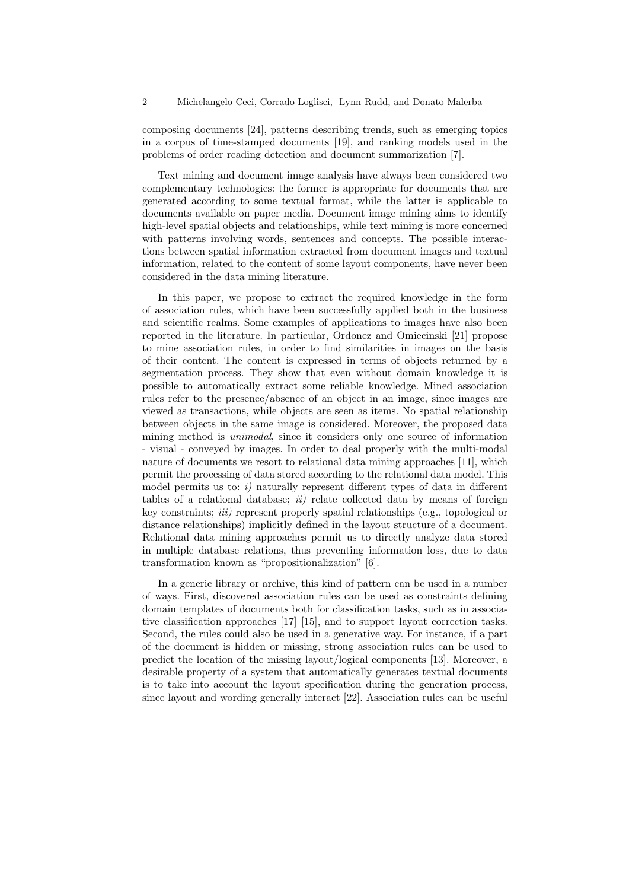composing documents [24], patterns describing trends, such as emerging topics in a corpus of time-stamped documents [19], and ranking models used in the problems of order reading detection and document summarization [7].

Text mining and document image analysis have always been considered two complementary technologies: the former is appropriate for documents that are generated according to some textual format, while the latter is applicable to documents available on paper media. Document image mining aims to identify high-level spatial objects and relationships, while text mining is more concerned with patterns involving words, sentences and concepts. The possible interactions between spatial information extracted from document images and textual information, related to the content of some layout components, have never been considered in the data mining literature.

In this paper, we propose to extract the required knowledge in the form of association rules, which have been successfully applied both in the business and scientific realms. Some examples of applications to images have also been reported in the literature. In particular, Ordonez and Omiecinski [21] propose to mine association rules, in order to find similarities in images on the basis of their content. The content is expressed in terms of objects returned by a segmentation process. They show that even without domain knowledge it is possible to automatically extract some reliable knowledge. Mined association rules refer to the presence/absence of an object in an image, since images are viewed as transactions, while objects are seen as items. No spatial relationship between objects in the same image is considered. Moreover, the proposed data mining method is *unimodal*, since it considers only one source of information - visual - conveyed by images. In order to deal properly with the multi-modal nature of documents we resort to relational data mining approaches [11], which permit the processing of data stored according to the relational data model. This model permits us to: *i*) naturally represent different types of data in different tables of a relational database; *ii)* relate collected data by means of foreign key constraints; *iii)* represent properly spatial relationships (e.g., topological or distance relationships) implicitly defined in the layout structure of a document. Relational data mining approaches permit us to directly analyze data stored in multiple database relations, thus preventing information loss, due to data transformation known as "propositionalization" [6].

In a generic library or archive, this kind of pattern can be used in a number of ways. First, discovered association rules can be used as constraints defining domain templates of documents both for classification tasks, such as in associative classification approaches [17] [15], and to support layout correction tasks. Second, the rules could also be used in a generative way. For instance, if a part of the document is hidden or missing, strong association rules can be used to predict the location of the missing layout/logical components [13]. Moreover, a desirable property of a system that automatically generates textual documents is to take into account the layout specification during the generation process, since layout and wording generally interact [22]. Association rules can be useful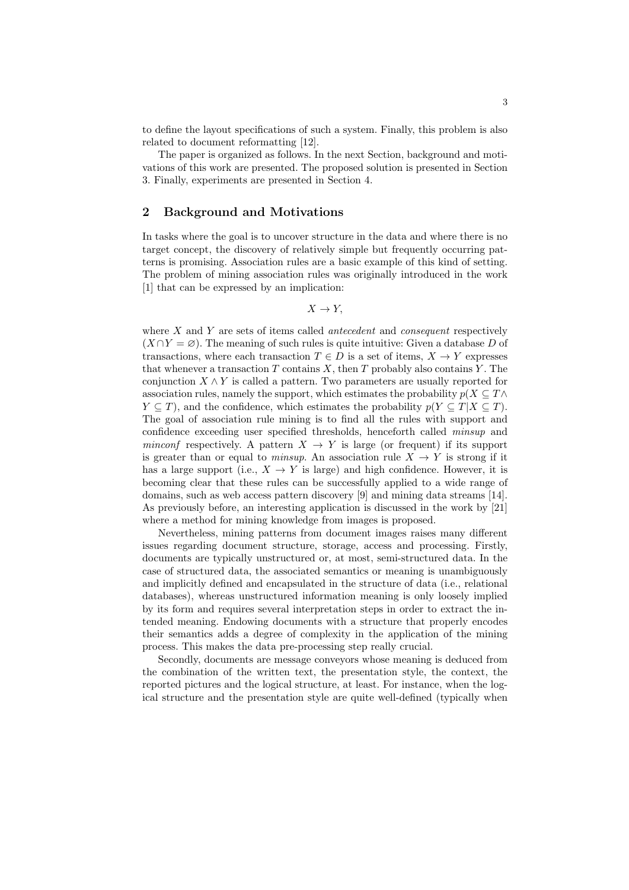to define the layout specifications of such a system. Finally, this problem is also related to document reformatting [12].

The paper is organized as follows. In the next Section, background and motivations of this work are presented. The proposed solution is presented in Section 3. Finally, experiments are presented in Section 4.

## **2 Background and Motivations**

In tasks where the goal is to uncover structure in the data and where there is no target concept, the discovery of relatively simple but frequently occurring patterns is promising. Association rules are a basic example of this kind of setting. The problem of mining association rules was originally introduced in the work [1] that can be expressed by an implication:

$$
X \to Y,
$$

where *X* and *Y* are sets of items called *antecedent* and *consequent* respectively  $(X \cap Y = \emptyset)$ . The meaning of such rules is quite intuitive: Given a database *D* of transactions, where each transaction  $T \in D$  is a set of items,  $X \to Y$  expresses that whenever a transaction *T* contains *X*, then *T* probably also contains *Y* . The conjunction  $X \wedge Y$  is called a pattern. Two parameters are usually reported for association rules, namely the support, which estimates the probability  $p(X \subseteq T \wedge T)$ *Y*  $\subset$  *T*), and the confidence, which estimates the probability *p*(*Y*  $\subset$  *T*|*X*  $\subset$  *T*). The goal of association rule mining is to find all the rules with support and confidence exceeding user specified thresholds, henceforth called *minsup* and *minconf* respectively. A pattern  $X \to Y$  is large (or frequent) if its support is greater than or equal to *minsup*. An association rule  $X \to Y$  is strong if it has a large support (i.e.,  $X \rightarrow Y$  is large) and high confidence. However, it is becoming clear that these rules can be successfully applied to a wide range of domains, such as web access pattern discovery [9] and mining data streams [14]. As previously before, an interesting application is discussed in the work by [21] where a method for mining knowledge from images is proposed.

Nevertheless, mining patterns from document images raises many different issues regarding document structure, storage, access and processing. Firstly, documents are typically unstructured or, at most, semi-structured data. In the case of structured data, the associated semantics or meaning is unambiguously and implicitly defined and encapsulated in the structure of data (i.e., relational databases), whereas unstructured information meaning is only loosely implied by its form and requires several interpretation steps in order to extract the intended meaning. Endowing documents with a structure that properly encodes their semantics adds a degree of complexity in the application of the mining process. This makes the data pre-processing step really crucial.

Secondly, documents are message conveyors whose meaning is deduced from the combination of the written text, the presentation style, the context, the reported pictures and the logical structure, at least. For instance, when the logical structure and the presentation style are quite well-defined (typically when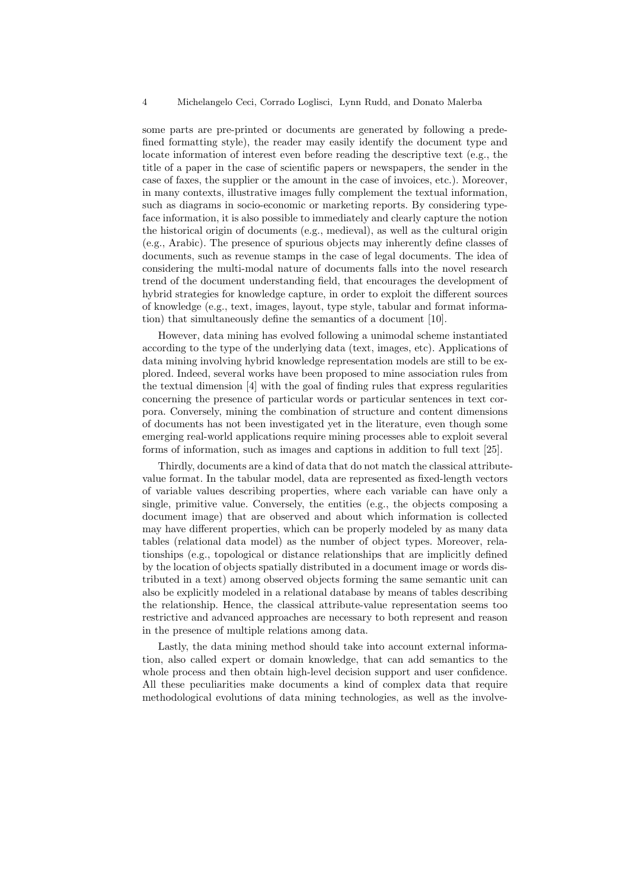some parts are pre-printed or documents are generated by following a predefined formatting style), the reader may easily identify the document type and locate information of interest even before reading the descriptive text (e.g., the title of a paper in the case of scientific papers or newspapers, the sender in the case of faxes, the supplier or the amount in the case of invoices, etc.). Moreover, in many contexts, illustrative images fully complement the textual information, such as diagrams in socio-economic or marketing reports. By considering typeface information, it is also possible to immediately and clearly capture the notion the historical origin of documents (e.g., medieval), as well as the cultural origin (e.g., Arabic). The presence of spurious objects may inherently define classes of documents, such as revenue stamps in the case of legal documents. The idea of considering the multi-modal nature of documents falls into the novel research trend of the document understanding field, that encourages the development of hybrid strategies for knowledge capture, in order to exploit the different sources of knowledge (e.g., text, images, layout, type style, tabular and format information) that simultaneously define the semantics of a document [10].

However, data mining has evolved following a unimodal scheme instantiated according to the type of the underlying data (text, images, etc). Applications of data mining involving hybrid knowledge representation models are still to be explored. Indeed, several works have been proposed to mine association rules from the textual dimension [4] with the goal of finding rules that express regularities concerning the presence of particular words or particular sentences in text corpora. Conversely, mining the combination of structure and content dimensions of documents has not been investigated yet in the literature, even though some emerging real-world applications require mining processes able to exploit several forms of information, such as images and captions in addition to full text [25].

Thirdly, documents are a kind of data that do not match the classical attributevalue format. In the tabular model, data are represented as fixed-length vectors of variable values describing properties, where each variable can have only a single, primitive value. Conversely, the entities (e.g., the objects composing a document image) that are observed and about which information is collected may have different properties, which can be properly modeled by as many data tables (relational data model) as the number of object types. Moreover, relationships (e.g., topological or distance relationships that are implicitly defined by the location of objects spatially distributed in a document image or words distributed in a text) among observed objects forming the same semantic unit can also be explicitly modeled in a relational database by means of tables describing the relationship. Hence, the classical attribute-value representation seems too restrictive and advanced approaches are necessary to both represent and reason in the presence of multiple relations among data.

Lastly, the data mining method should take into account external information, also called expert or domain knowledge, that can add semantics to the whole process and then obtain high-level decision support and user confidence. All these peculiarities make documents a kind of complex data that require methodological evolutions of data mining technologies, as well as the involve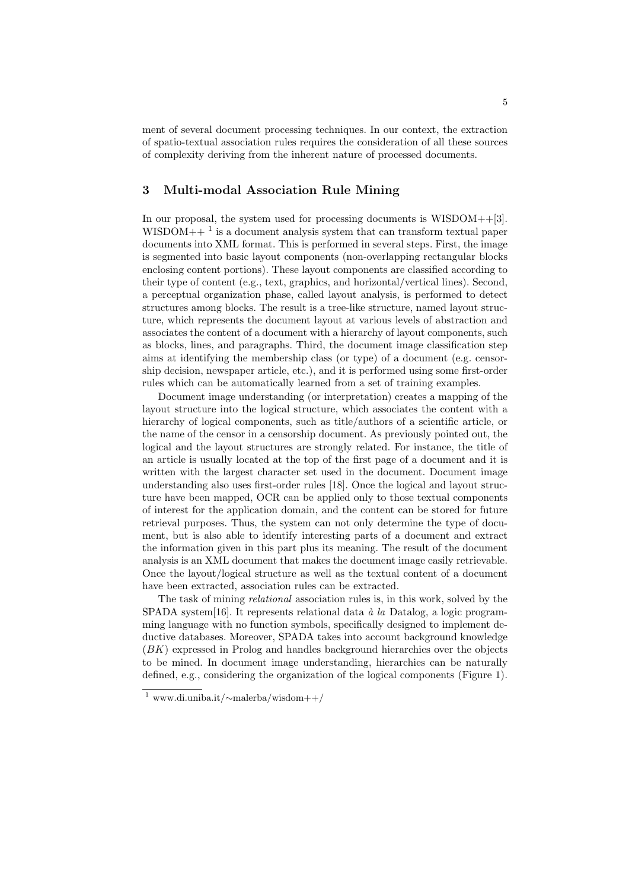ment of several document processing techniques. In our context, the extraction of spatio-textual association rules requires the consideration of all these sources of complexity deriving from the inherent nature of processed documents.

## **3 Multi-modal Association Rule Mining**

In our proposal, the system used for processing documents is WISDOM++[3].  $WISDOM++<sup>1</sup>$  is a document analysis system that can transform textual paper documents into XML format. This is performed in several steps. First, the image is segmented into basic layout components (non-overlapping rectangular blocks enclosing content portions). These layout components are classified according to their type of content (e.g., text, graphics, and horizontal/vertical lines). Second, a perceptual organization phase, called layout analysis, is performed to detect structures among blocks. The result is a tree-like structure, named layout structure, which represents the document layout at various levels of abstraction and associates the content of a document with a hierarchy of layout components, such as blocks, lines, and paragraphs. Third, the document image classification step aims at identifying the membership class (or type) of a document (e.g. censorship decision, newspaper article, etc.), and it is performed using some first-order rules which can be automatically learned from a set of training examples.

Document image understanding (or interpretation) creates a mapping of the layout structure into the logical structure, which associates the content with a hierarchy of logical components, such as title/authors of a scientific article, or the name of the censor in a censorship document. As previously pointed out, the logical and the layout structures are strongly related. For instance, the title of an article is usually located at the top of the first page of a document and it is written with the largest character set used in the document. Document image understanding also uses first-order rules [18]. Once the logical and layout structure have been mapped, OCR can be applied only to those textual components of interest for the application domain, and the content can be stored for future retrieval purposes. Thus, the system can not only determine the type of document, but is also able to identify interesting parts of a document and extract the information given in this part plus its meaning. The result of the document analysis is an XML document that makes the document image easily retrievable. Once the layout/logical structure as well as the textual content of a document have been extracted, association rules can be extracted.

The task of mining *relational* association rules is, in this work, solved by the SPADA system<sup>[16]</sup>. It represents relational data *à la* Datalog, a logic programming language with no function symbols, specifically designed to implement deductive databases. Moreover, SPADA takes into account background knowledge (*BK*) expressed in Prolog and handles background hierarchies over the objects to be mined. In document image understanding, hierarchies can be naturally defined, e.g., considering the organization of the logical components (Figure 1).

<sup>1</sup> www.di.uniba.it/*∼*malerba/wisdom++/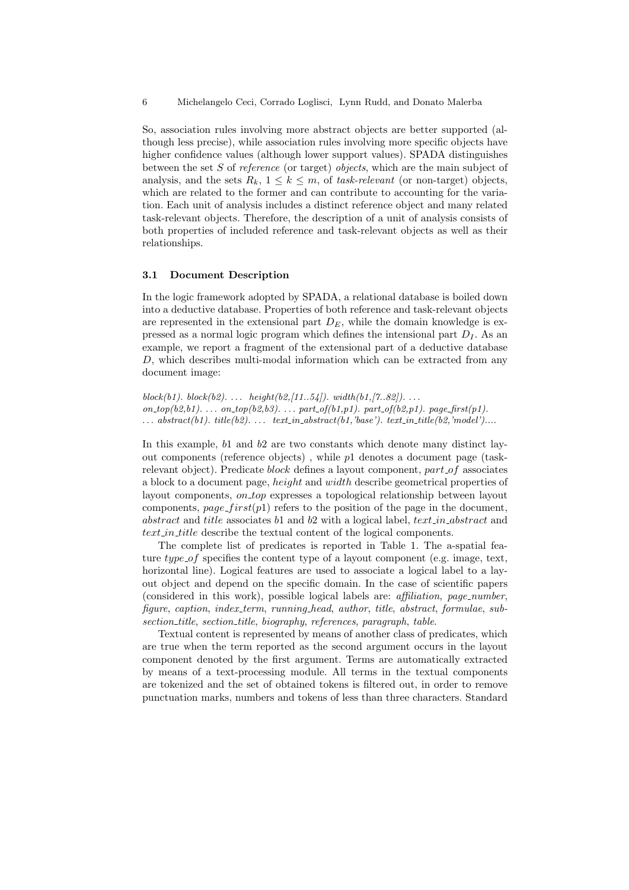So, association rules involving more abstract objects are better supported (although less precise), while association rules involving more specific objects have higher confidence values (although lower support values). SPADA distinguishes between the set *S* of *reference* (or target) *objects*, which are the main subject of analysis, and the sets  $R_k$ ,  $1 \leq k \leq m$ , of *task-relevant* (or non-target) objects, which are related to the former and can contribute to accounting for the variation. Each unit of analysis includes a distinct reference object and many related task-relevant objects. Therefore, the description of a unit of analysis consists of both properties of included reference and task-relevant objects as well as their relationships.

#### **3.1 Document Description**

In the logic framework adopted by SPADA, a relational database is boiled down into a deductive database. Properties of both reference and task-relevant objects are represented in the extensional part  $D_E$ , while the domain knowledge is expressed as a normal logic program which defines the intensional part *D<sup>I</sup>* . As an example, we report a fragment of the extensional part of a deductive database *D*, which describes multi-modal information which can be extracted from any document image:

```
block(b1). block(b2). \ldots height(b2,[11..54]). width(b1,[7..82]). \ldotson\_top(b2,b1). \dots on\_top(b2,b3). \dots part\_of(b1,p1). part\_of(b2,p1). page\_first(p1).\ldots abstract(b1). title(b2). \ldots text_in_abstract(b1,'base'). text_in_title(b2,'model')....
```
In this example, *b*1 and *b*2 are two constants which denote many distinct layout components (reference objects) , while *p*1 denotes a document page (taskrelevant object). Predicate *block* defines a layout component, *part of* associates a block to a document page, *height* and *width* describe geometrical properties of layout components, *on top* expresses a topological relationship between layout components,  $page\_first(p1)$  refers to the position of the page in the document, *abstract* and *title* associates *b*1 and *b*2 with a logical label, *text in abstract* and *text in title* describe the textual content of the logical components.

The complete list of predicates is reported in Table 1. The a-spatial feature *type of* specifies the content type of a layout component (e.g. image, text, horizontal line). Logical features are used to associate a logical label to a layout object and depend on the specific domain. In the case of scientific papers (considered in this work), possible logical labels are: *affiliation*, *page number*, *figure*, *caption*, *index term*, *running head*, *author*, *title*, *abstract*, *formulae*, *subsection title*, *section title*, *biography*, *references*, *paragraph*, *table*.

Textual content is represented by means of another class of predicates, which are true when the term reported as the second argument occurs in the layout component denoted by the first argument. Terms are automatically extracted by means of a text-processing module. All terms in the textual components are tokenized and the set of obtained tokens is filtered out, in order to remove punctuation marks, numbers and tokens of less than three characters. Standard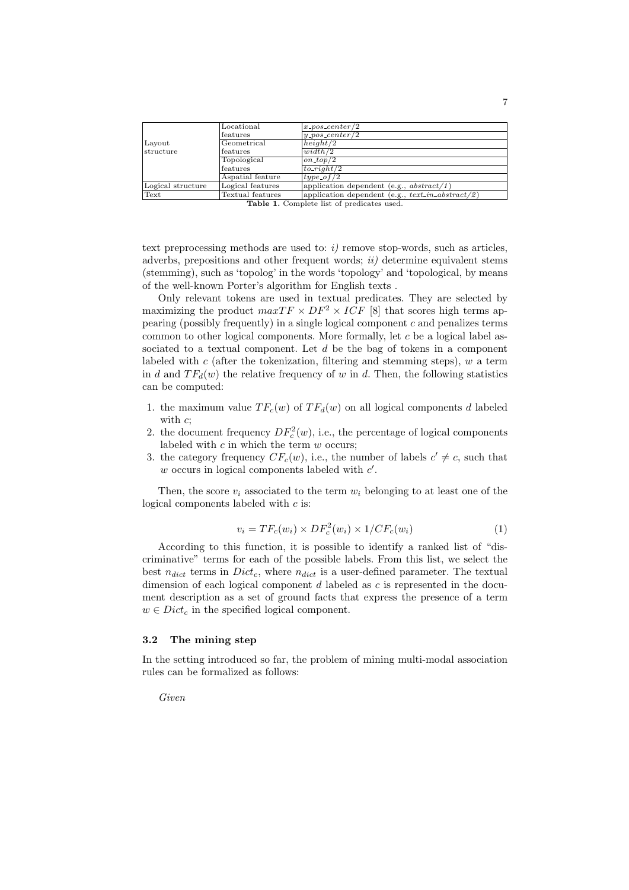|                                                                                                                      | Locational       | $ x_{\text{DOS\_center}}/2$                           |  |  |  |
|----------------------------------------------------------------------------------------------------------------------|------------------|-------------------------------------------------------|--|--|--|
|                                                                                                                      | features         | $y_{\text{-}pos\_center/2}$                           |  |  |  |
| Layout                                                                                                               | Geometrical      | height/2                                              |  |  |  |
| structure                                                                                                            | features         | width/2                                               |  |  |  |
|                                                                                                                      | Topological      | $on\_top/2$                                           |  |  |  |
|                                                                                                                      | features         | $to\_right/2$                                         |  |  |  |
|                                                                                                                      | Aspatial feature | $type_of/2$                                           |  |  |  |
| Logical structure                                                                                                    | Logical features | application dependent (e.g., $abstract/1$ )           |  |  |  |
| Text                                                                                                                 | Textual features | application dependent (e.g., $text_in\_abstract/2)$ ) |  |  |  |
| $\mathbf{r}$ , $\mathbf{r}$ , $\mathbf{r}$ , $\mathbf{r}$ , $\mathbf{r}$ , $\mathbf{r}$ , $\mathbf{r}$<br>$-11 - 12$ |                  |                                                       |  |  |  |

**Table 1.** Complete list of predicates used.

text preprocessing methods are used to:  $i$ ) remove stop-words, such as articles, adverbs, prepositions and other frequent words; *ii)* determine equivalent stems (stemming), such as 'topolog' in the words 'topology' and 'topological, by means of the well-known Porter's algorithm for English texts .

Only relevant tokens are used in textual predicates. They are selected by maximizing the product  $maxTF \times DF^2 \times ICF$  [8] that scores high terms appearing (possibly frequently) in a single logical component *c* and penalizes terms common to other logical components. More formally, let *c* be a logical label associated to a textual component. Let *d* be the bag of tokens in a component labeled with *c* (after the tokenization, filtering and stemming steps), *w* a term in *d* and  $TF_d(w)$  the relative frequency of *w* in *d*. Then, the following statistics can be computed:

- 1. the maximum value  $TF_c(w)$  of  $TF_d(w)$  on all logical components *d* labeled with *c*;
- 2. the document frequency  $DF_c^2(w)$ , i.e., the percentage of logical components labeled with *c* in which the term *w* occurs;
- 3. the category frequency  $CF_c(w)$ , i.e., the number of labels  $c' \neq c$ , such that *w* occurs in logical components labeled with *c ′* .

Then, the score  $v_i$  associated to the term  $w_i$  belonging to at least one of the logical components labeled with *c* is:

$$
v_i = T F_c(w_i) \times D F_c^2(w_i) \times 1 / C F_c(w_i)
$$
\n<sup>(1)</sup>

According to this function, it is possible to identify a ranked list of "discriminative" terms for each of the possible labels. From this list, we select the best  $n_{dict}$  terms in  $Dict_c$ , where  $n_{dict}$  is a user-defined parameter. The textual dimension of each logical component *d* labeled as *c* is represented in the document description as a set of ground facts that express the presence of a term  $w \in Dict_c$  in the specified logical component.

#### **3.2 The mining step**

In the setting introduced so far, the problem of mining multi-modal association rules can be formalized as follows:

*Given*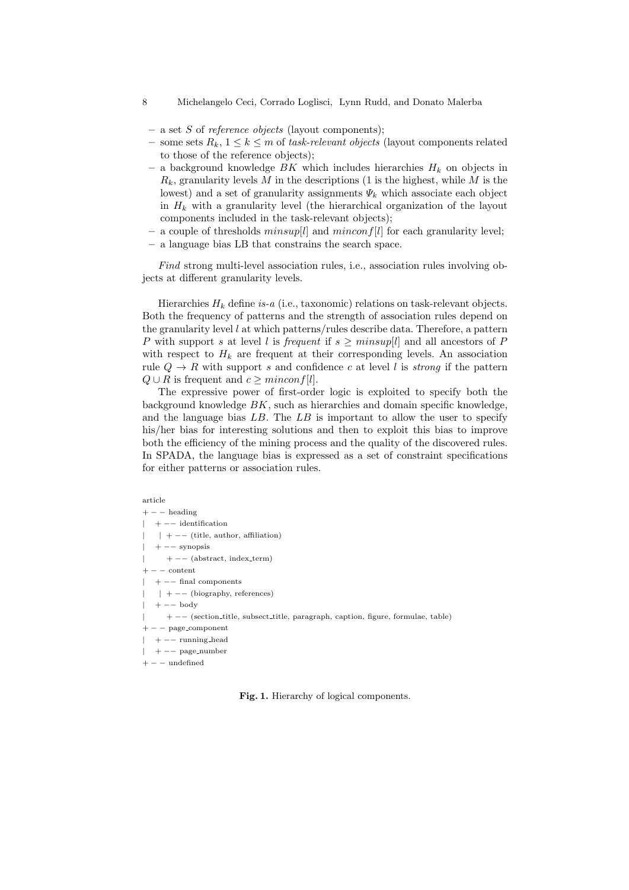#### 8 Michelangelo Ceci, Corrado Loglisci, Lynn Rudd, and Donato Malerba

- **–** a set *S* of *reference objects* (layout components);
- some sets  $R_k$ ,  $1 \leq k \leq m$  of *task-relevant objects* (layout components related to those of the reference objects);
- **–** a background knowledge *BK* which includes hierarchies *H<sup>k</sup>* on objects in  $R_k$ , granularity levels *M* in the descriptions (1 is the highest, while *M* is the lowest) and a set of granularity assignments *Ψ<sup>k</sup>* which associate each object in  $H_k$  with a granularity level (the hierarchical organization of the layout components included in the task-relevant objects);
- **–** a couple of thresholds *minsup*[*l*] and *minconf*[*l*] for each granularity level;
- **–** a language bias LB that constrains the search space.

*Find* strong multi-level association rules, i.e., association rules involving objects at different granularity levels.

Hierarchies  $H_k$  define *is-a* (i.e., taxonomic) relations on task-relevant objects. Both the frequency of patterns and the strength of association rules depend on the granularity level *l* at which patterns/rules describe data. Therefore, a pattern *P* with support *s* at level *l* is *frequent* if *s ≥ minsup*[*l*] and all ancestors of *P* with respect to  $H_k$  are frequent at their corresponding levels. An association rule  $Q \rightarrow R$  with support *s* and confidence *c* at level *l* is *strong* if the pattern  $Q \cup R$  is frequent and  $c \geq minconf[l]$ .

The expressive power of first-order logic is exploited to specify both the background knowledge *BK*, such as hierarchies and domain specific knowledge, and the language bias *LB*. The *LB* is important to allow the user to specify his/her bias for interesting solutions and then to exploit this bias to improve both the efficiency of the mining process and the quality of the discovered rules. In SPADA, the language bias is expressed as a set of constraint specifications for either patterns or association rules.

article

+ *− −* heading *|* + *−−* identification *| |* + *−−* (title, author, affiliation) *|* + *−−* synopsis *|* + *−−* (abstract, index term) + *− −* content *|* + *−−* final components *| |* + *−−* (biography, references) *|* + *−−* body *|* + *−−* (section title, subsect title, paragraph, caption, figure, formulae, table) + *− −* page component *|* + *−−* running head *|* + *−−* page number + *− −* undefined

**Fig. 1.** Hierarchy of logical components.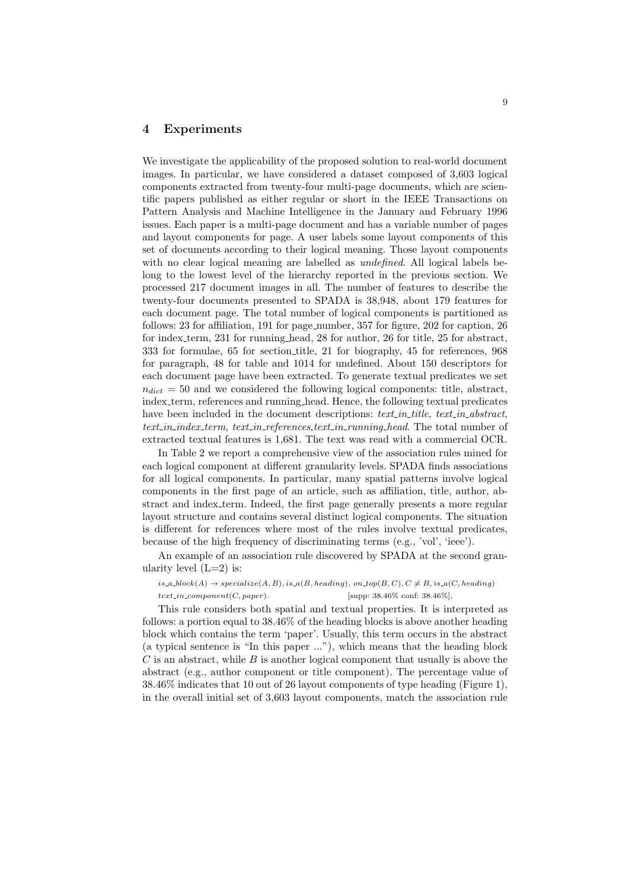### **4 Experiments**

We investigate the applicability of the proposed solution to real-world document images. In particular, we have considered a dataset composed of 3,603 logical components extracted from twenty-four multi-page documents, which are scientific papers published as either regular or short in the IEEE Transactions on Pattern Analysis and Machine Intelligence in the January and February 1996 issues. Each paper is a multi-page document and has a variable number of pages and layout components for page. A user labels some layout components of this set of documents according to their logical meaning. Those layout components with no clear logical meaning are labelled as *undefined*. All logical labels belong to the lowest level of the hierarchy reported in the previous section. We processed 217 document images in all. The number of features to describe the twenty-four documents presented to SPADA is 38,948, about 179 features for each document page. The total number of logical components is partitioned as follows: 23 for affiliation, 191 for page number, 357 for figure, 202 for caption, 26 for index term, 231 for running head, 28 for author, 26 for title, 25 for abstract, 333 for formulae, 65 for section title, 21 for biography, 45 for references, 968 for paragraph, 48 for table and 1014 for undefined. About 150 descriptors for each document page have been extracted. To generate textual predicates we set  $n_{dict} = 50$  and we considered the following logical components: title, abstract, index term, references and running head. Hence, the following textual predicates have been included in the document descriptions: *text\_in\_title*, *text\_in\_abstract*, *text in index term*, *text in references*,*text in running head*. The total number of extracted textual features is 1,681. The text was read with a commercial OCR.

In Table 2 we report a comprehensive view of the association rules mined for each logical component at different granularity levels. SPADA finds associations for all logical components. In particular, many spatial patterns involve logical components in the first page of an article, such as affiliation, title, author, abstract and index term. Indeed, the first page generally presents a more regular layout structure and contains several distinct logical components. The situation is different for references where most of the rules involve textual predicates, because of the high frequency of discriminating terms (e.g., 'vol', 'ieee').

An example of an association rule discovered by SPADA at the second granularity level  $(L=2)$  is:

 $is.a\_block(A) \rightarrow \text{specialize}(A, B), is.a(B, heading), on\_top(B, C), C \neq B, is.a(C, heading)$  $text_in\_component(C, paper).$  [supp:  $38.46\%$  conf:  $38.46\%$ ],

This rule considers both spatial and textual properties. It is interpreted as follows: a portion equal to 38.46% of the heading blocks is above another heading block which contains the term 'paper'. Usually, this term occurs in the abstract (a typical sentence is "In this paper ..."), which means that the heading block *C* is an abstract, while *B* is another logical component that usually is above the abstract (e.g., author component or title component). The percentage value of 38.46% indicates that 10 out of 26 layout components of type heading (Figure 1), in the overall initial set of 3,603 layout components, match the association rule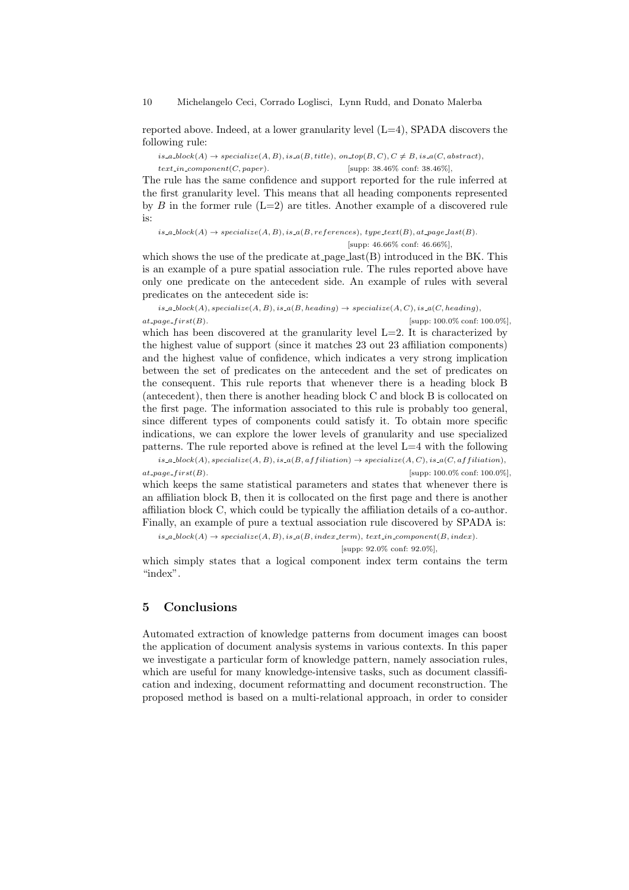#### 10 Michelangelo Ceci, Corrado Loglisci, Lynn Rudd, and Donato Malerba

reported above. Indeed, at a lower granularity level  $(L=4)$ , SPADA discovers the following rule:

 $i$ **s**  $a$  $a$  $b$  $b$  $c$  $k$  $(A)$   $\rightarrow$   $s$  $pecialize(A, B), i$ **s** $a$  $(B, title)$ *, on* $t$ *top* $(B, C), C \neq B$ *,*  $i$ **s** $\lrcorner$  $a$  $(C, abstract)$ *, text in component*(*C, paper*)*.* [supp: 38.46% conf: 38.46%],

The rule has the same confidence and support reported for the rule inferred at the first granularity level. This means that all heading components represented by *B* in the former rule  $(L=2)$  are titles. Another example of a discovered rule is:

 $i$ *s* $a$  $\neq$  $b$  $\neq$  $b$  $\neq$  $f$  $\neq$  $f$  $\neq$  $f$  $\neq$  $f$  $\neq$  $f$  $\neq$  $f$  $\neq$  $f$  $\neq$  $f$  $\neq$  $f$  $\neq$  $f$  $\neq$  $f$  $\neq$  $f$  $\neq$  $f$  $\neq$  $f$  $\neq$  $f$  $\neq$  $f$  $\neq$  $f$  $\neq$  $f$  $\neq$  $f$  $\neq$  $f$  $\neq$  $f$  $\neq$  $f$  $\neq$  $f$ [supp: 46.66% conf: 46.66%],

which shows the use of the predicate at  $page$  last $(B)$  introduced in the BK. This is an example of a pure spatial association rule. The rules reported above have only one predicate on the antecedent side. An example of rules with several predicates on the antecedent side is:

 $is$ *-a-block***(***A***)***,* $specialize(A, B)$ *,* $is$ **<b>-a**(*B, heading*)  $\rightarrow$   $specialize(A, C)$ *,*  $is$ **-a**(*C, heading*)*, at page f irst*(*B*)*.* [supp: 100.0% conf: 100.0%],

which has been discovered at the granularity level  $L=2$ . It is characterized by the highest value of support (since it matches 23 out 23 affiliation components) and the highest value of confidence, which indicates a very strong implication between the set of predicates on the antecedent and the set of predicates on the consequent. This rule reports that whenever there is a heading block B (antecedent), then there is another heading block C and block B is collocated on the first page. The information associated to this rule is probably too general, since different types of components could satisfy it. To obtain more specific indications, we can explore the lower levels of granularity and use specialized patterns. The rule reported above is refined at the level  $L=4$  with the following

 $i$ **s**  $a$   $b$  $b$  $b$  $c$  $k$  $A$ *), specialize*( $A$ *, B*)*, is*  $a$  $B$ *, af filiation*)  $\rightarrow$  *specialize*( $A$ *, C*)*, is*  $a$ ( $C$ *, af filiation*)*, at page f irst*(*B*)*.* [supp: 100.0% conf: 100.0%],

which keeps the same statistical parameters and states that whenever there is an affiliation block B, then it is collocated on the first page and there is another affiliation block C, which could be typically the affiliation details of a co-author. Finally, an example of pure a textual association rule discovered by SPADA is:

 $i$ *s*  $a$   $\Delta block(A) \rightarrow \text{specialize}(A, B), i$ **s**  $\Delta a(B, index \text{ term}), text \text{ in } \text{component}(B, index).$ [supp: 92.0% conf: 92.0%],

which simply states that a logical component index term contains the term "index".

# **5 Conclusions**

Automated extraction of knowledge patterns from document images can boost the application of document analysis systems in various contexts. In this paper we investigate a particular form of knowledge pattern, namely association rules, which are useful for many knowledge-intensive tasks, such as document classification and indexing, document reformatting and document reconstruction. The proposed method is based on a multi-relational approach, in order to consider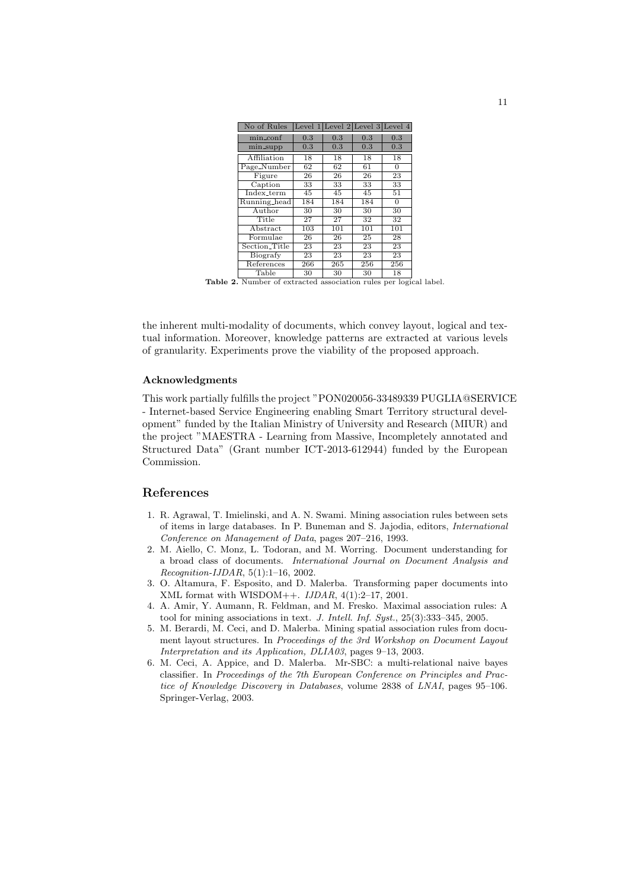| No of Rules   |     | Level $1$ Level $2$ Level $3$ Level $4$ |     |          |
|---------------|-----|-----------------------------------------|-----|----------|
| min_conf      | 0.3 | 0.3                                     | 0.3 | 0.3      |
| min_supp      | 0.3 | 0.3                                     | 0.3 | 0.3      |
| Affiliation   | 18  | 18                                      | 18  | 18       |
| Page_Number   | 62  | 62                                      | 61  | 0        |
| Figure        | 26  | 26                                      | 26  | 23       |
| Caption       | 33  | 33                                      | 33  | 33       |
| Index_term    | 45  | 45                                      | 45  | 51       |
| Running_head  | 184 | 184                                     | 184 | $\Omega$ |
| Author        | 30  | 30                                      | 30  | 30       |
| Title         | 27  | 27                                      | 32  | 32       |
| Abstract      | 103 | 101                                     | 101 | 101      |
| Formulae      | 26  | 26                                      | 25  | 28       |
| Section_Title | 23  | 23                                      | 23  | 23       |
| Biografy      | 23  | 23                                      | 23  | 23       |
| References    | 266 | 265                                     | 256 | 256      |
| Table         | 30  | 30                                      | 30  | 18       |

**Table 2.** Number of extracted association rules per logical label.

the inherent multi-modality of documents, which convey layout, logical and textual information. Moreover, knowledge patterns are extracted at various levels of granularity. Experiments prove the viability of the proposed approach.

#### **Acknowledgments**

This work partially fulfills the project "PON020056-33489339 PUGLIA@SERVICE - Internet-based Service Engineering enabling Smart Territory structural development" funded by the Italian Ministry of University and Research (MIUR) and the project "MAESTRA - Learning from Massive, Incompletely annotated and Structured Data" (Grant number ICT-2013-612944) funded by the European Commission.

## **References**

- 1. R. Agrawal, T. Imielinski, and A. N. Swami. Mining association rules between sets of items in large databases. In P. Buneman and S. Jajodia, editors, *International Conference on Management of Data*, pages 207–216, 1993.
- 2. M. Aiello, C. Monz, L. Todoran, and M. Worring. Document understanding for a broad class of documents. *International Journal on Document Analysis and Recognition-IJDAR*, 5(1):1–16, 2002.
- 3. O. Altamura, F. Esposito, and D. Malerba. Transforming paper documents into XML format with WISDOM++. *IJDAR*, 4(1):2–17, 2001.
- 4. A. Amir, Y. Aumann, R. Feldman, and M. Fresko. Maximal association rules: A tool for mining associations in text. *J. Intell. Inf. Syst.*, 25(3):333–345, 2005.
- 5. M. Berardi, M. Ceci, and D. Malerba. Mining spatial association rules from document layout structures. In *Proceedings of the 3rd Workshop on Document Layout Interpretation and its Application, DLIA03*, pages 9–13, 2003.
- 6. M. Ceci, A. Appice, and D. Malerba. Mr-SBC: a multi-relational naive bayes classifier. In *Proceedings of the 7th European Conference on Principles and Practice of Knowledge Discovery in Databases*, volume 2838 of *LNAI*, pages 95–106. Springer-Verlag, 2003.